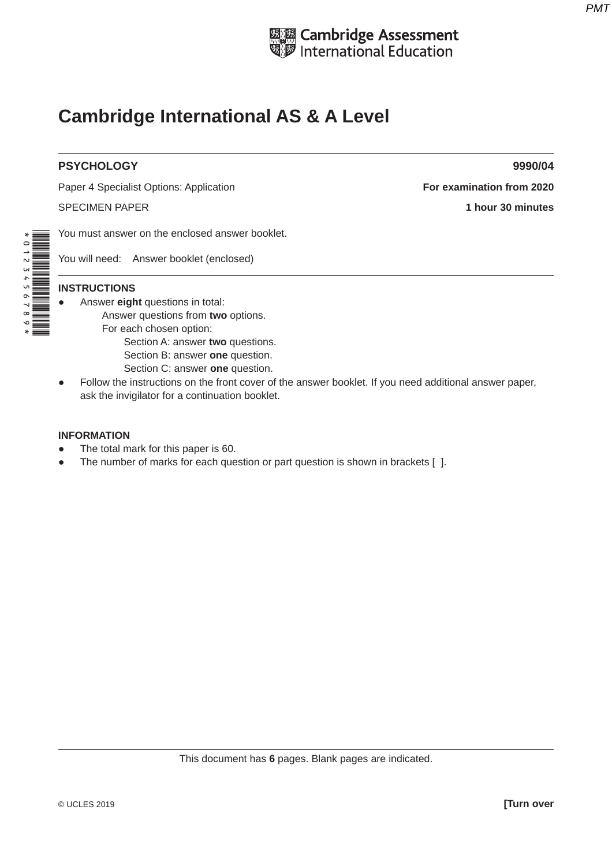

# **Cambridge International AS & A Level**

#### **PSYCHOLOGY 9990/04**

Paper 4 Specialist Options: Application **For examination from 2020** 

SPECIMEN PAPER **1 hour 30 minutes**

You must answer on the enclosed answer booklet.

You will need: Answer booklet (enclosed)

# \*0123456789\*

#### **INSTRUCTIONS**

- Answer **eight** questions in total:
	- Answer questions from **two** options.
	- For each chosen option:
		- Section A: answer **two** questions.
		- Section B: answer **one** question.
		- Section C: answer **one** question.
- Follow the instructions on the front cover of the answer booklet. If you need additional answer paper, ask the invigilator for a continuation booklet.

#### **INFORMATION**

- The total mark for this paper is 60.
- The number of marks for each question or part question is shown in brackets [].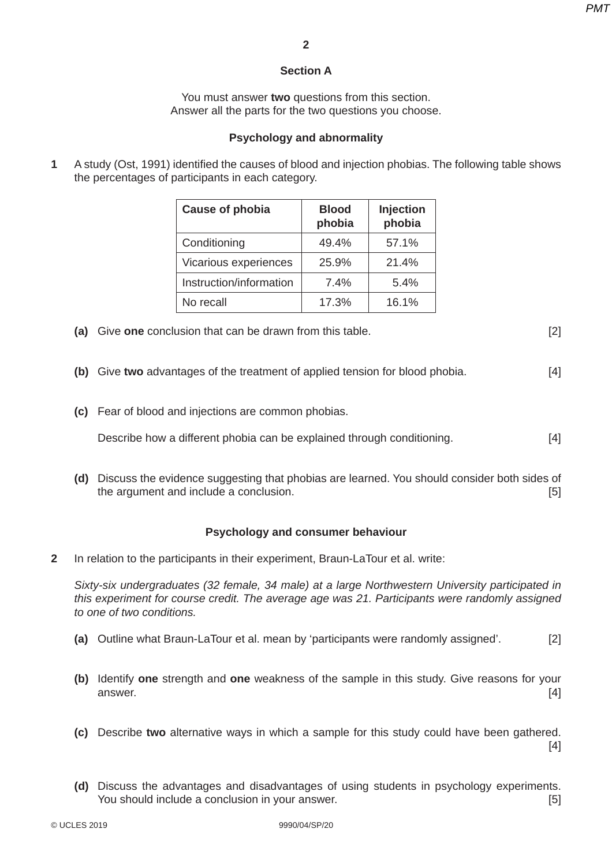# **Section A**

You must answer **two** questions from this section. Answer all the parts for the two questions you choose.

# **Psychology and abnormality**

**1** A study (Ost, 1991) identified the causes of blood and injection phobias. The following table shows the percentages of participants in each category.

| <b>Cause of phobia</b>  | <b>Blood</b><br>phobia | Injection<br>phobia |
|-------------------------|------------------------|---------------------|
| Conditioning            | 49.4%                  | 57.1%               |
| Vicarious experiences   | 25.9%                  | 21.4%               |
| Instruction/information | 7.4%                   | 5.4%                |
| No recall               | 17.3%                  | 16.1%               |

 **(a)** Give **one** conclusion that can be drawn from this table. [2]

- **(b)** Give **two** advantages of the treatment of applied tension for blood phobia. [4]
- **(c)** Fear of blood and injections are common phobias.

**Describe how a different phobia can be explained through conditioning.** [4]

 **(d)** Discuss the evidence suggesting that phobias are learned. You should consider both sides of the argument and include a conclusion. **Example 20** is a set of the argument and include a conclusion.

#### **Psychology and consumer behaviour**

**2** In relation to the participants in their experiment, Braun-LaTour et al. write:

*Sixty-six undergraduates (32 female, 34 male) at a large Northwestern University participated in this experiment for course credit. The average age was 21. Participants were randomly assigned to one of two conditions.* 

- **(a)** Outline what Braun-LaTour et al. mean by 'participants were randomly assigned'. [2]
- **(b)** Identify **one** strength and **one** weakness of the sample in this study. Give reasons for your answer. [4]
- **(c)** Describe **two** alternative ways in which a sample for this study could have been gathered. [4]
- **(d)** Discuss the advantages and disadvantages of using students in psychology experiments. You should include a conclusion in your answer. [5]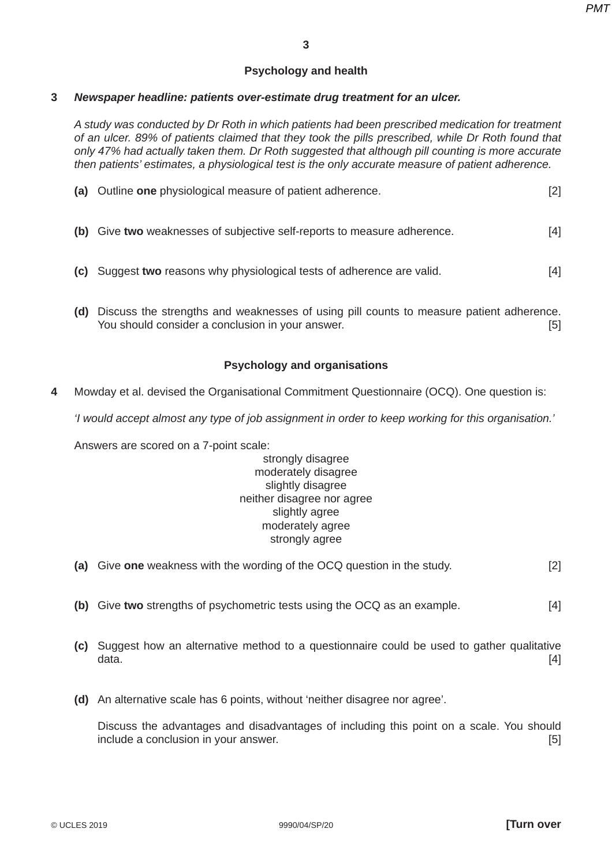#### **Psychology and health**

#### **3** *Newspaper headline: patients over-estimate drug treatment for an ulcer.*

*A study was conducted by Dr Roth in which patients had been prescribed medication for treatment of an ulcer. 89% of patients claimed that they took the pills prescribed, while Dr Roth found that only 47% had actually taken them. Dr Roth suggested that although pill counting is more accurate then patients' estimates, a physiological test is the only accurate measure of patient adherence.* 

|      | (a) Outline one physiological measure of patient adherence.              | [2] |
|------|--------------------------------------------------------------------------|-----|
|      | (b) Give two weaknesses of subjective self-reports to measure adherence. | [4] |
| (C). | Suggest two reasons why physiological tests of adherence are valid.      | [4] |

 **(d)** Discuss the strengths and weaknesses of using pill counts to measure patient adherence. You should consider a conclusion in your answer. [5]

#### **Psychology and organisations**

**4** Mowday et al. devised the Organisational Commitment Questionnaire (OCQ). One question is:

*'I would accept almost any type of job assignment in order to keep working for this organisation.'*

Answers are scored on a 7-point scale:

#### strongly disagree moderately disagree slightly disagree neither disagree nor agree slightly agree moderately agree strongly agree

- **(a)** Give **one** weakness with the wording of the OCQ question in the study. [2]
- **(b)** Give **two** strengths of psychometric tests using the OCQ as an example. [4]
- **(c)** Suggest how an alternative method to a questionnaire could be used to gather qualitative  $data.$  [4]
- **(d)** An alternative scale has 6 points, without 'neither disagree nor agree'.

Discuss the advantages and disadvantages of including this point on a scale. You should include a conclusion in your answer. [5]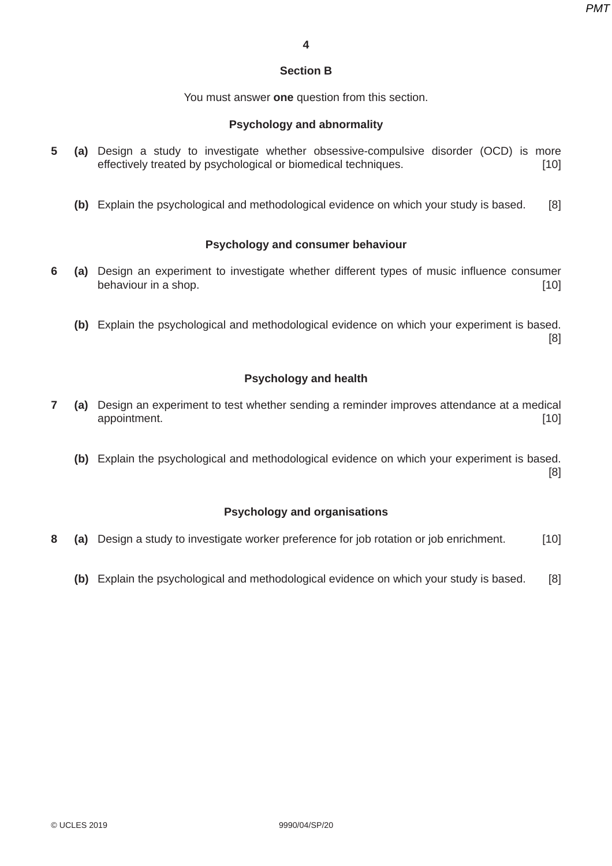#### **Section B**

You must answer **one** question from this section.

#### **Psychology and abnormality**

- **5 (a)** Design a study to investigate whether obsessive-compulsive disorder (OCD) is more effectively treated by psychological or biomedical techniques. [10]
	- **(b)** Explain the psychological and methodological evidence on which your study is based. [8]

#### **Psychology and consumer behaviour**

- **6 (a)** Design an experiment to investigate whether different types of music influence consumer behaviour in a shop. [10]
	- **(b)** Explain the psychological and methodological evidence on which your experiment is based. [8]

#### **Psychology and health**

- **7 (a)** Design an experiment to test whether sending a reminder improves attendance at a medical appointment. [10] appointment.
	- **(b)** Explain the psychological and methodological evidence on which your experiment is based. [8]

#### **Psychology and organisations**

- **8 (a)** Design a study to investigate worker preference for job rotation or job enrichment. [10]
	- **(b)** Explain the psychological and methodological evidence on which your study is based. [8]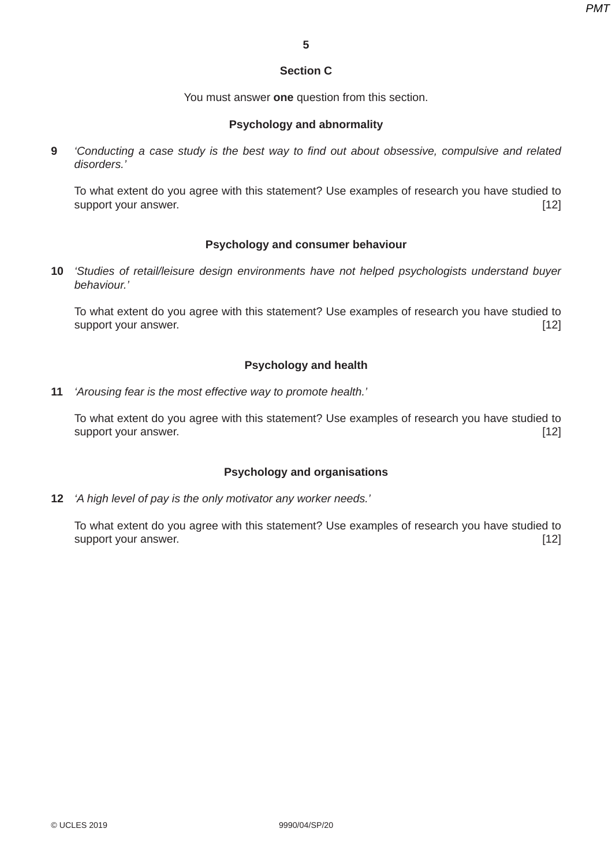# **Section C**

You must answer **one** question from this section.

## **Psychology and abnormality**

**9** *'Conducting a case study is the best way to find out about obsessive, compulsive and related disorders.'*

To what extent do you agree with this statement? Use examples of research you have studied to support your answer. **Example 20** Support your answer.

## **Psychology and consumer behaviour**

**10** *'Studies of retail/leisure design environments have not helped psychologists understand buyer behaviour.'* 

To what extent do you agree with this statement? Use examples of research you have studied to support your answer. [12]

# **Psychology and health**

**11** *'Arousing fear is the most effective way to promote health.'*

To what extent do you agree with this statement? Use examples of research you have studied to support your answer. [12] support your answer.

# **Psychology and organisations**

**12** *'A high level of pay is the only motivator any worker needs.'*

To what extent do you agree with this statement? Use examples of research you have studied to support your answer. [12]